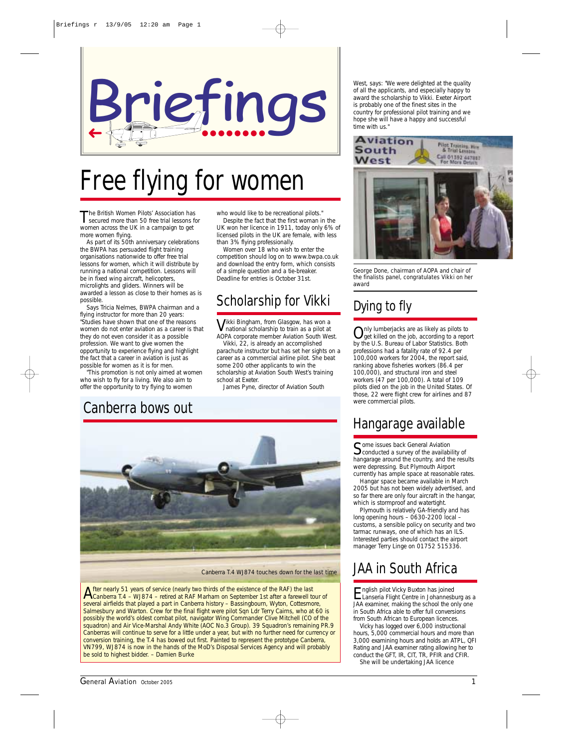

# Free flying for women

The British Women Pilots' Association has<br>secured more than 50 free trial lessons for women across the UK in a campaign to get more women flying.

As part of its 50th anniversary celebrations the BWPA has persuaded flight training organisations nationwide to offer free trial lessons for women, which it will distribute by running a national competition. Lessons will be in fixed wing aircraft, helicopters microlights and gliders. Winners will be awarded a lesson as close to their homes as is possible.

Says Tricia Nelmes, BWPA chairman and a flying instructor for more than 20 years: "Studies have shown that one of the reasons women do not enter aviation as a career is that they do not even consider it as a possible profession. We want to give women the opportunity to experience flying and highlight the fact that a career in aviation is just as possible for women as it is for men.

"This promotion is not only aimed at women who wish to fly for a living. We also aim to offer the opportunity to try flying to women

who would like to be recreational pilots."

Despite the fact that the first woman in the UK won her licence in 1911, today only 6% of licensed pilots in the UK are female, with less than 3% flying professionally.

Women over 18 who wish to enter the competition should log on to www.bwpa.co.uk and download the entry form, which consists of a simple question and a tie-breaker. Deadline for entries is October 31st.

### Scholarship for Vikki

Vikki Bingham, from Glasgow, has won a national scholarship to train as a pilot at AOPA corporate member Aviation South West.

Vikki, 22, is already an accomplished parachute instructor but has set her sights on a career as a commercial airline pilot. She beat some 200 other applicants to win the scholarship at Aviation South West's training school at Exeter.

James Pyne, director of Aviation South

### Canberra bows out



*Canberra T.4 WJ874 touches down for the last time*

After nearly 51 years of service (nearly two thirds of the existence of the RAF) the last<br>Canberra T.4 – WJ874 – retired at RAF Marham on September 1st after a farewell tour of several airfields that played a part in Canberra history – Bassingbourn, Wyton, Cottesmore, Salmesbury and Warton. Crew for the final flight were pilot Sqn Ldr Terry Cairns, who at 60 is possibly the world's oldest combat pilot, navigator Wing Commander Clive Mitchell (CO of the squadron) and Air Vice-Marshal Andy White (AOC No.3 Group). 39 Squadron's remaining PR.9 Canberras will continue to serve for a little under a year, but with no further need for currency or conversion training, the T.4 has bowed out first. Painted to represent the prototype Canberra, VN799, WJ874 is now in the hands of the MoD's Disposal Services Agency and will probably be sold to highest bidder. – *Damien Burke*

West, says: "We were delighted at the quality of all the applicants, and especially happy to award the scholarship to Vikki. Exeter Airport is probably one of the finest sites in the country for professional pilot training and we hope she will have a happy and successful time with us."



*George Done, chairman of AOPA and chair of the finalists panel, congratulates Vikki on her award*

### Dying to fly

Only lumberjacks are as likely as pilots to<br>get killed on the job, according to a report by the U.S. Bureau of Labor Statistics. Both professions had a fatality rate of 92.4 per 100,000 workers for 2004, the report said, ranking above fisheries workers (86.4 per 100,000), and structural iron and steel workers (47 per 100,000). A total of 109 pilots died on the job in the United States. Of those, 22 were flight crew for airlines and 87 were commercial pilots.

## Hangarage available

Some issues back General Aviation<br>Conducted a survey of the availability of hangarage around the country, and the results were depressing. But Plymouth Airport currently has ample space at reasonable rates.

Hangar space became available in March 2005 but has not been widely advertised, and so far there are only four aircraft in the hangar, which is stormproof and watertight.

Plymouth is relatively GA-friendly and has long opening hours – 0630-2200 local customs, a sensible policy on security and two tarmac runways, one of which has an ILS. Interested parties should contact the airport manager Terry Linge on 01752 515336.

## JAA in South Africa

English pilot Vicky Buxton has joined<br>Lanseria Flight Centre in Johannesburg as a JAA examiner, making the school the only one in South Africa able to offer full conversions from South African to European licences.

Vicky has logged over 6,000 instructional hours, 5,000 commercial hours and more than 3,000 examining hours and holds an ATPL, QFI Rating and JAA examiner rating allowing her to conduct the GFT, IR, CIT, TR, PFIR and CFIR. She will be undertaking JAA licence